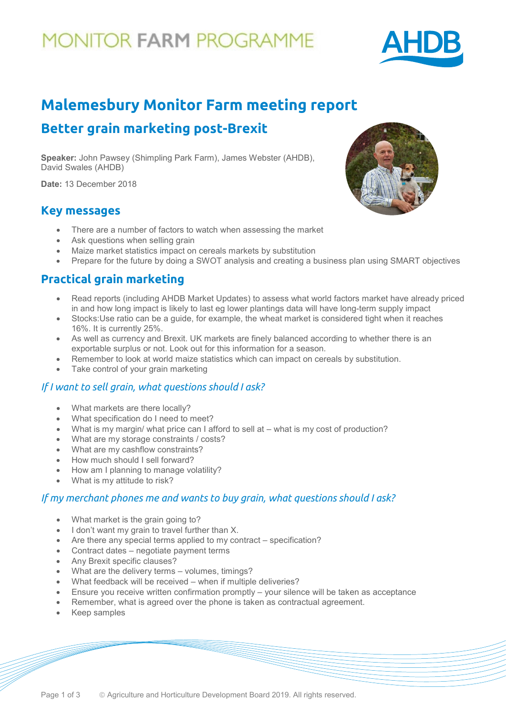# **10NITOR FARM PROGRAMME**



## **Malemesbury Monitor Farm meeting report Better grain marketing post-Brexit**

**Speaker:** John Pawsey (Shimpling Park Farm), James Webster (AHDB), David Swales (AHDB)

**Date:** 13 December 2018

### **Key messages**

- There are a number of factors to watch when assessing the market
- Ask questions when selling grain
- Maize market statistics impact on cereals markets by substitution
- Prepare for the future by doing a SWOT analysis and creating a business plan using SMART objectives

## **Practical grain marketing**

- Read reports (including AHDB Market Updates) to assess what world factors market have already priced in and how long impact is likely to last eg lower plantings data will have long-term supply impact
- Stocks:Use ratio can be a guide, for example, the wheat market is considered tight when it reaches 16%. It is currently 25%.
- As well as currency and Brexit. UK markets are finely balanced according to whether there is an exportable surplus or not. Look out for this information for a season.
- Remember to look at world maize statistics which can impact on cereals by substitution.
- Take control of your grain marketing

#### *If I want to sell grain, what questions should I ask?*

- What markets are there locally?
- What specification do I need to meet?
- What is my margin/ what price can I afford to sell at what is my cost of production?
- What are my storage constraints / costs?
- What are my cashflow constraints?
- How much should I sell forward?
- How am I planning to manage volatility?
- What is my attitude to risk?

### *If my merchant phones me and wants to buy grain, what questions should I ask?*

- What market is the grain going to?
- I don't want my grain to travel further than X.
- Are there any special terms applied to my contract specification?
- Contract dates negotiate payment terms
- Any Brexit specific clauses?
- What are the delivery terms volumes, timings?
- What feedback will be received when if multiple deliveries?
- Ensure you receive written confirmation promptly your silence will be taken as acceptance
- Remember, what is agreed over the phone is taken as contractual agreement.
- Keep samples

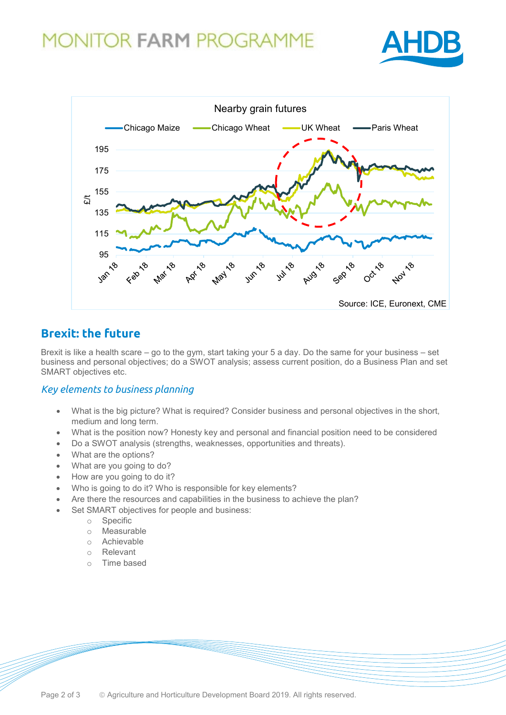## **MONITOR FARM PROGRAMME**





### **Brexit: the future**

Brexit is like a health scare – go to the gym, start taking your 5 a day. Do the same for your business – set business and personal objectives; do a SWOT analysis; assess current position, do a Business Plan and set SMART objectives etc.

### *Key elements to business planning*

- What is the big picture? What is required? Consider business and personal objectives in the short, medium and long term.
- What is the position now? Honesty key and personal and financial position need to be considered
- Do a SWOT analysis (strengths, weaknesses, opportunities and threats).
- What are the options?
- What are you going to do?
- How are you going to do it?
- Who is going to do it? Who is responsible for key elements?
- Are there the resources and capabilities in the business to achieve the plan?
- Set SMART objectives for people and business:
	- o Specific
	- o Measurable
	- o Achievable<br>
	o Relevant
	- Relevant
	- o Time based